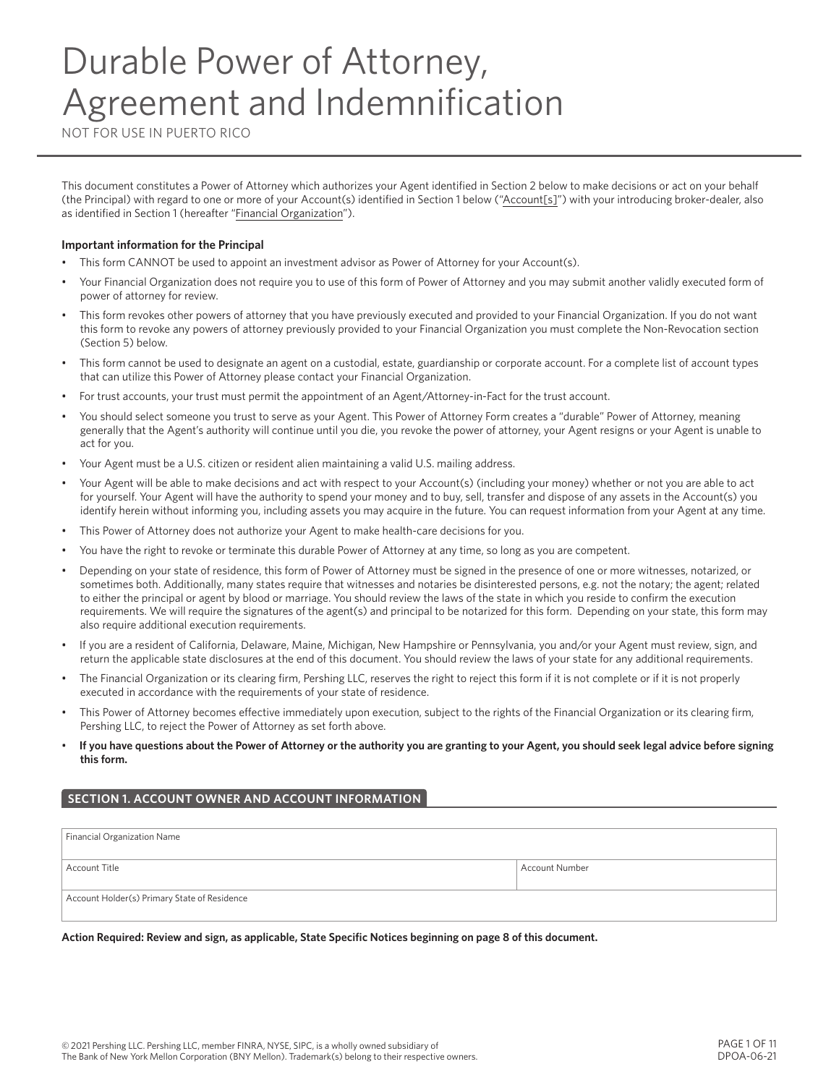# Durable Power of Attorney, Agreement and Indemnification

NOT FOR USE IN PUERTO RICO

This document constitutes a Power of Attorney which authorizes your Agent identified in Section 2 below to make decisions or act on your behalf (the Principal) with regard to one or more of your Account(s) identified in Section 1 below ("Account[s]") with your introducing broker-dealer, also as identified in Section 1 (hereafter "Financial Organization").

# **Important information for the Principal**

- This form CANNOT be used to appoint an investment advisor as Power of Attorney for your Account(s).
- Your Financial Organization does not require you to use of this form of Power of Attorney and you may submit another validly executed form of power of attorney for review.
- This form revokes other powers of attorney that you have previously executed and provided to your Financial Organization. If you do not want this form to revoke any powers of attorney previously provided to your Financial Organization you must complete the Non-Revocation section (Section 5) below.
- This form cannot be used to designate an agent on a custodial, estate, guardianship or corporate account. For a complete list of account types that can utilize this Power of Attorney please contact your Financial Organization.
- For trust accounts, your trust must permit the appointment of an Agent/Attorney-in-Fact for the trust account.
- You should select someone you trust to serve as your Agent. This Power of Attorney Form creates a "durable" Power of Attorney, meaning generally that the Agent's authority will continue until you die, you revoke the power of attorney, your Agent resigns or your Agent is unable to act for you.
- Your Agent must be a U.S. citizen or resident alien maintaining a valid U.S. mailing address.
- Your Agent will be able to make decisions and act with respect to your Account(s) (including your money) whether or not you are able to act for yourself. Your Agent will have the authority to spend your money and to buy, sell, transfer and dispose of any assets in the Account(s) you identify herein without informing you, including assets you may acquire in the future. You can request information from your Agent at any time.
- This Power of Attorney does not authorize your Agent to make health-care decisions for you.
- You have the right to revoke or terminate this durable Power of Attorney at any time, so long as you are competent.
- Depending on your state of residence, this form of Power of Attorney must be signed in the presence of one or more witnesses, notarized, or sometimes both. Additionally, many states require that witnesses and notaries be disinterested persons, e.g. not the notary; the agent; related to either the principal or agent by blood or marriage. You should review the laws of the state in which you reside to confirm the execution requirements. We will require the signatures of the agent(s) and principal to be notarized for this form. Depending on your state, this form may also require additional execution requirements.
- If you are a resident of California, Delaware, Maine, Michigan, New Hampshire or Pennsylvania, you and/or your Agent must review, sign, and return the applicable state disclosures at the end of this document. You should review the laws of your state for any additional requirements.
- The Financial Organization or its clearing firm, Pershing LLC, reserves the right to reject this form if it is not complete or if it is not properly executed in accordance with the requirements of your state of residence.
- This Power of Attorney becomes effective immediately upon execution, subject to the rights of the Financial Organization or its clearing firm, Pershing LLC, to reject the Power of Attorney as set forth above.
- **If you have questions about the Power of Attorney or the authority you are granting to your Agent, you should seek legal advice before signing this form.**

# **SECTION 1. ACCOUNT OWNER AND ACCOUNT INFORMATION**

| Financial Organization Name                  |                |  |
|----------------------------------------------|----------------|--|
| Account Title                                | Account Number |  |
| Account Holder(s) Primary State of Residence |                |  |

#### **Action Required: Review and sign, as applicable, State Specific Notices beginning on page 8 of this document.**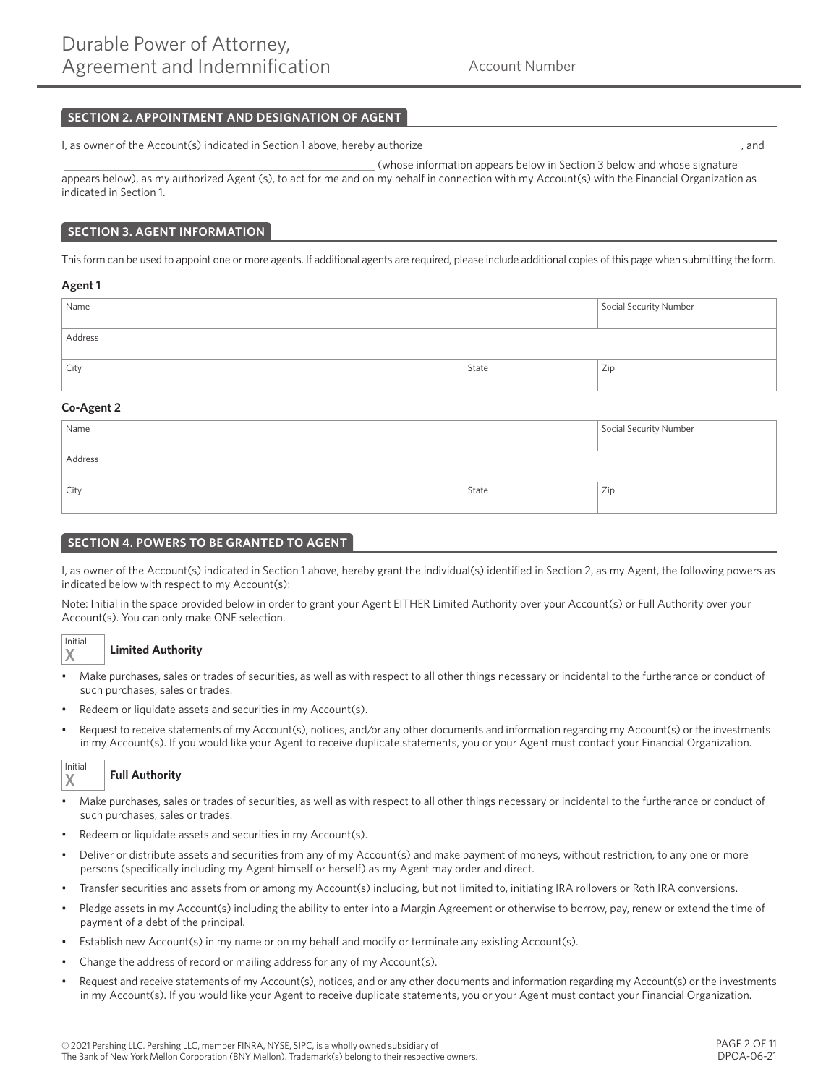# **SECTION 2. APPOINTMENT AND DESIGNATION OF AGENT**

I, as owner of the Account(s) indicated in Section 1 above, hereby authorize  $\blacksquare$ 

(whose information appears below in Section 3 below and whose signature appears below), as my authorized Agent (s), to act for me and on my behalf in connection with my Account(s) with the Financial Organization as indicated in Section 1.

# **SECTION 3. AGENT INFORMATION**

This form can be used to appoint one or more agents. If additional agents are required, please include additional copies of this page when submitting the form.

#### **Agent 1**

| Name    |       | Social Security Number |
|---------|-------|------------------------|
| Address |       |                        |
| City    | State | Zip                    |

#### **Co-Agent 2**

| Name    |       | Social Security Number |
|---------|-------|------------------------|
| Address |       |                        |
| City    | State | Zip                    |

# **SECTION 4. POWERS TO BE GRANTED TO AGENT**

I, as owner of the Account(s) indicated in Section 1 above, hereby grant the individual(s) identified in Section 2, as my Agent, the following powers as indicated below with respect to my Account(s):

Note: Initial in the space provided below in order to grant your Agent EITHER Limited Authority over your Account(s) or Full Authority over your Account(s). You can only make ONE selection.

#### Initial **X Limited Authority**

- Make purchases, sales or trades of securities, as well as with respect to all other things necessary or incidental to the furtherance or conduct of such purchases, sales or trades.
- Redeem or liquidate assets and securities in my Account(s).
- Request to receive statements of my Account(s), notices, and/or any other documents and information regarding my Account(s) or the investments in my Account(s). If you would like your Agent to receive duplicate statements, you or your Agent must contact your Financial Organization.

# Initial

- **X Full Authority**
- Make purchases, sales or trades of securities, as well as with respect to all other things necessary or incidental to the furtherance or conduct of such purchases, sales or trades.
- Redeem or liquidate assets and securities in my Account(s).
- Deliver or distribute assets and securities from any of my Account(s) and make payment of moneys, without restriction, to any one or more persons (specifically including my Agent himself or herself) as my Agent may order and direct.
- Transfer securities and assets from or among my Account(s) including, but not limited to, initiating IRA rollovers or Roth IRA conversions.
- Pledge assets in my Account(s) including the ability to enter into a Margin Agreement or otherwise to borrow, pay, renew or extend the time of payment of a debt of the principal.
- Establish new Account(s) in my name or on my behalf and modify or terminate any existing Account(s).
- Change the address of record or mailing address for any of my Account(s).
- Request and receive statements of my Account(s), notices, and or any other documents and information regarding my Account(s) or the investments in my Account(s). If you would like your Agent to receive duplicate statements, you or your Agent must contact your Financial Organization.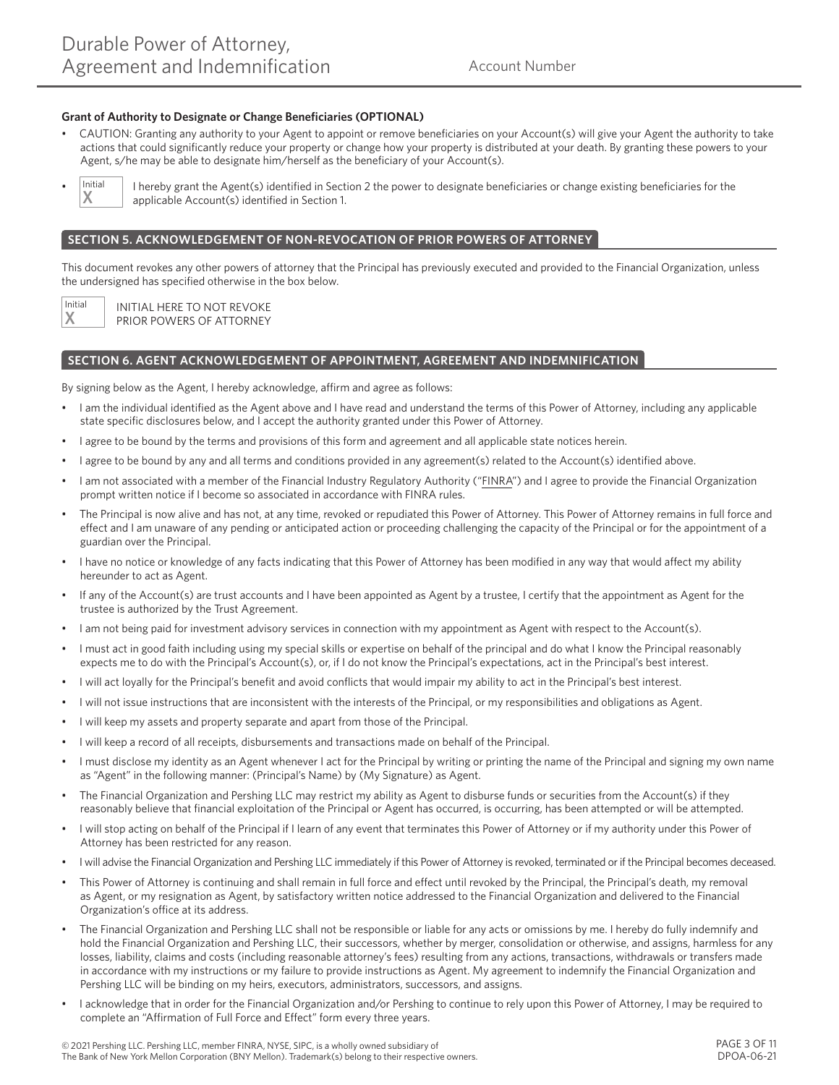# **Grant of Authority to Designate or Change Beneficiaries (OPTIONAL)**

• CAUTION: Granting any authority to your Agent to appoint or remove beneficiaries on your Account(s) will give your Agent the authority to take actions that could significantly reduce your property or change how your property is distributed at your death. By granting these powers to your Agent, s/he may be able to designate him/herself as the beneficiary of your Account(s).



**<sup>X</sup>** I hereby grant the Agent(s) identified in Section 2 the power to designate beneficiaries or change existing beneficiaries for the applicable Account(s) identified in Section 1.

# **SECTION 5. ACKNOWLEDGEMENT OF NON-REVOCATION OF PRIOR POWERS OF ATTORNEY**

This document revokes any other powers of attorney that the Principal has previously executed and provided to the Financial Organization, unless the undersigned has specified otherwise in the box below.

| ۰<br>٠ |  |
|--------|--|
|        |  |
|        |  |

INITIAL HERE TO NOT REVOKE PRIOR POWERS OF ATTORNEY

#### **SECTION 6. AGENT ACKNOWLEDGEMENT OF APPOINTMENT, AGREEMENT AND INDEMNIFICATION**

By signing below as the Agent, I hereby acknowledge, affirm and agree as follows:

- I am the individual identified as the Agent above and I have read and understand the terms of this Power of Attorney, including any applicable state specific disclosures below, and I accept the authority granted under this Power of Attorney.
- I agree to be bound by the terms and provisions of this form and agreement and all applicable state notices herein.
- I agree to be bound by any and all terms and conditions provided in any agreement(s) related to the Account(s) identified above.
- I am not associated with a member of the Financial Industry Regulatory Authority ("FINRA") and I agree to provide the Financial Organization prompt written notice if I become so associated in accordance with FINRA rules.
- The Principal is now alive and has not, at any time, revoked or repudiated this Power of Attorney. This Power of Attorney remains in full force and effect and I am unaware of any pending or anticipated action or proceeding challenging the capacity of the Principal or for the appointment of a guardian over the Principal.
- I have no notice or knowledge of any facts indicating that this Power of Attorney has been modified in any way that would affect my ability hereunder to act as Agent.
- If any of the Account(s) are trust accounts and I have been appointed as Agent by a trustee, I certify that the appointment as Agent for the trustee is authorized by the Trust Agreement.
- I am not being paid for investment advisory services in connection with my appointment as Agent with respect to the Account(s).
- I must act in good faith including using my special skills or expertise on behalf of the principal and do what I know the Principal reasonably expects me to do with the Principal's Account(s), or, if I do not know the Principal's expectations, act in the Principal's best interest.
- I will act loyally for the Principal's benefit and avoid conflicts that would impair my ability to act in the Principal's best interest.
- I will not issue instructions that are inconsistent with the interests of the Principal, or my responsibilities and obligations as Agent.
- I will keep my assets and property separate and apart from those of the Principal.
- I will keep a record of all receipts, disbursements and transactions made on behalf of the Principal.
- I must disclose my identity as an Agent whenever I act for the Principal by writing or printing the name of the Principal and signing my own name as "Agent" in the following manner: (Principal's Name) by (My Signature) as Agent.
- The Financial Organization and Pershing LLC may restrict my ability as Agent to disburse funds or securities from the Account(s) if they reasonably believe that financial exploitation of the Principal or Agent has occurred, is occurring, has been attempted or will be attempted.
- I will stop acting on behalf of the Principal if I learn of any event that terminates this Power of Attorney or if my authority under this Power of Attorney has been restricted for any reason.
- I will advise the Financial Organization and Pershing LLC immediately if this Power of Attorney is revoked, terminated or if the Principal becomes deceased.
- This Power of Attorney is continuing and shall remain in full force and effect until revoked by the Principal, the Principal's death, my removal as Agent, or my resignation as Agent, by satisfactory written notice addressed to the Financial Organization and delivered to the Financial Organization's office at its address.
- The Financial Organization and Pershing LLC shall not be responsible or liable for any acts or omissions by me. I hereby do fully indemnify and hold the Financial Organization and Pershing LLC, their successors, whether by merger, consolidation or otherwise, and assigns, harmless for any losses, liability, claims and costs (including reasonable attorney's fees) resulting from any actions, transactions, withdrawals or transfers made in accordance with my instructions or my failure to provide instructions as Agent. My agreement to indemnify the Financial Organization and Pershing LLC will be binding on my heirs, executors, administrators, successors, and assigns.
- I acknowledge that in order for the Financial Organization and/or Pershing to continue to rely upon this Power of Attorney, I may be required to complete an "Affirmation of Full Force and Effect" form every three years.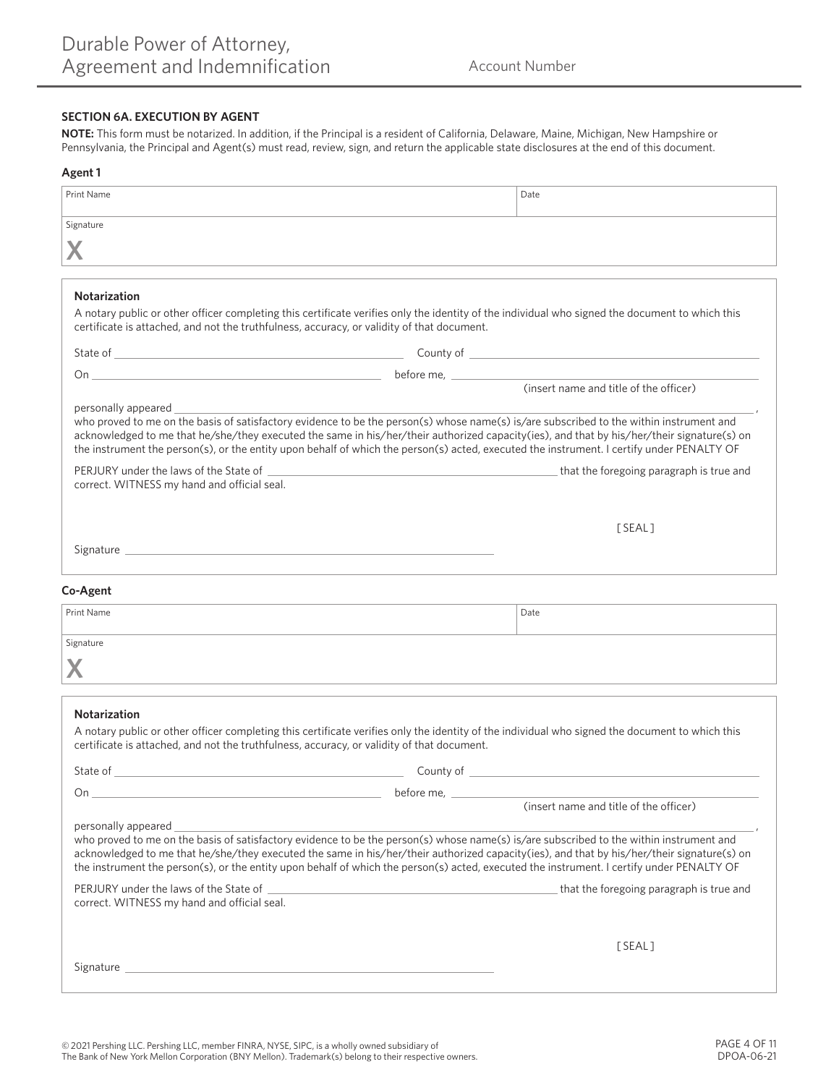# **SECTION 6A. EXECUTION BY AGENT**

**NOTE:** This form must be notarized. In addition, if the Principal is a resident of California, Delaware, Maine, Michigan, New Hampshire or Pennsylvania, the Principal and Agent(s) must read, review, sign, and return the applicable state disclosures at the end of this document.

| Agent 1                                                                                                                                                                                                                                                                                                                                                                                                                                                   |                                                                                                                                                                                                                                |
|-----------------------------------------------------------------------------------------------------------------------------------------------------------------------------------------------------------------------------------------------------------------------------------------------------------------------------------------------------------------------------------------------------------------------------------------------------------|--------------------------------------------------------------------------------------------------------------------------------------------------------------------------------------------------------------------------------|
| Print Name                                                                                                                                                                                                                                                                                                                                                                                                                                                | Date                                                                                                                                                                                                                           |
| Signature                                                                                                                                                                                                                                                                                                                                                                                                                                                 |                                                                                                                                                                                                                                |
|                                                                                                                                                                                                                                                                                                                                                                                                                                                           |                                                                                                                                                                                                                                |
| <b>Notarization</b>                                                                                                                                                                                                                                                                                                                                                                                                                                       |                                                                                                                                                                                                                                |
| A notary public or other officer completing this certificate verifies only the identity of the individual who signed the document to which this<br>certificate is attached, and not the truthfulness, accuracy, or validity of that document.                                                                                                                                                                                                             |                                                                                                                                                                                                                                |
|                                                                                                                                                                                                                                                                                                                                                                                                                                                           |                                                                                                                                                                                                                                |
|                                                                                                                                                                                                                                                                                                                                                                                                                                                           |                                                                                                                                                                                                                                |
|                                                                                                                                                                                                                                                                                                                                                                                                                                                           | (insert name and title of the officer)                                                                                                                                                                                         |
| personally appeared<br>who proved to me on the basis of satisfactory evidence to be the person(s) whose name(s) is/are subscribed to the within instrument and<br>acknowledged to me that he/she/they executed the same in his/her/their authorized capacity(ies), and that by his/her/their signature(s) on<br>the instrument the person(s), or the entity upon behalf of which the person(s) acted, executed the instrument. I certify under PENALTY OF |                                                                                                                                                                                                                                |
| PERJURY under the laws of the State of                                                                                                                                                                                                                                                                                                                                                                                                                    | that the foregoing paragraph is true and                                                                                                                                                                                       |
| correct. WITNESS my hand and official seal.                                                                                                                                                                                                                                                                                                                                                                                                               |                                                                                                                                                                                                                                |
|                                                                                                                                                                                                                                                                                                                                                                                                                                                           |                                                                                                                                                                                                                                |
|                                                                                                                                                                                                                                                                                                                                                                                                                                                           | <b>TSEAL1</b>                                                                                                                                                                                                                  |
| Signature experience and the state of the state of the state of the state of the state of the state of the state of the state of the state of the state of the state of the state of the state of the state of the state of th                                                                                                                                                                                                                            |                                                                                                                                                                                                                                |
|                                                                                                                                                                                                                                                                                                                                                                                                                                                           |                                                                                                                                                                                                                                |
| Co-Agent                                                                                                                                                                                                                                                                                                                                                                                                                                                  |                                                                                                                                                                                                                                |
| Print Name                                                                                                                                                                                                                                                                                                                                                                                                                                                | Date                                                                                                                                                                                                                           |
| Signature                                                                                                                                                                                                                                                                                                                                                                                                                                                 |                                                                                                                                                                                                                                |
|                                                                                                                                                                                                                                                                                                                                                                                                                                                           |                                                                                                                                                                                                                                |
| <b>Notarization</b>                                                                                                                                                                                                                                                                                                                                                                                                                                       |                                                                                                                                                                                                                                |
| A notary public or other officer completing this certificate verifies only the identity of the individual who signed the document to which this                                                                                                                                                                                                                                                                                                           |                                                                                                                                                                                                                                |
| certificate is attached, and not the truthfulness, accuracy, or validity of that document.                                                                                                                                                                                                                                                                                                                                                                |                                                                                                                                                                                                                                |
| State of the contract of the contract of the contract of the contract of the contract of the contract of the contract of the contract of the contract of the contract of the contract of the contract of the contract of the c                                                                                                                                                                                                                            | County of the country of the country of the country of the country of the country of the country of the country of the country of the country of the country of the country of the country of the country of the country of th |
| On<br>before me, $\equiv$                                                                                                                                                                                                                                                                                                                                                                                                                                 |                                                                                                                                                                                                                                |
|                                                                                                                                                                                                                                                                                                                                                                                                                                                           | (insert name and title of the officer)                                                                                                                                                                                         |
| personally appeared<br>who proved to me on the basis of satisfactory evidence to be the person(s) whose name(s) is/are subscribed to the within instrument and<br>acknowledged to me that he/she/they executed the same in his/her/their authorized capacity(ies), and that by his/her/their signature(s) on                                                                                                                                              |                                                                                                                                                                                                                                |
| the instrument the person(s), or the entity upon behalf of which the person(s) acted, executed the instrument. I certify under PENALTY OF                                                                                                                                                                                                                                                                                                                 |                                                                                                                                                                                                                                |
| PERJURY under the laws of the State of _<br>correct. WITNESS my hand and official seal.                                                                                                                                                                                                                                                                                                                                                                   | that the foregoing paragraph is true and                                                                                                                                                                                       |
|                                                                                                                                                                                                                                                                                                                                                                                                                                                           | [SEAL]                                                                                                                                                                                                                         |
| Signature                                                                                                                                                                                                                                                                                                                                                                                                                                                 |                                                                                                                                                                                                                                |
|                                                                                                                                                                                                                                                                                                                                                                                                                                                           |                                                                                                                                                                                                                                |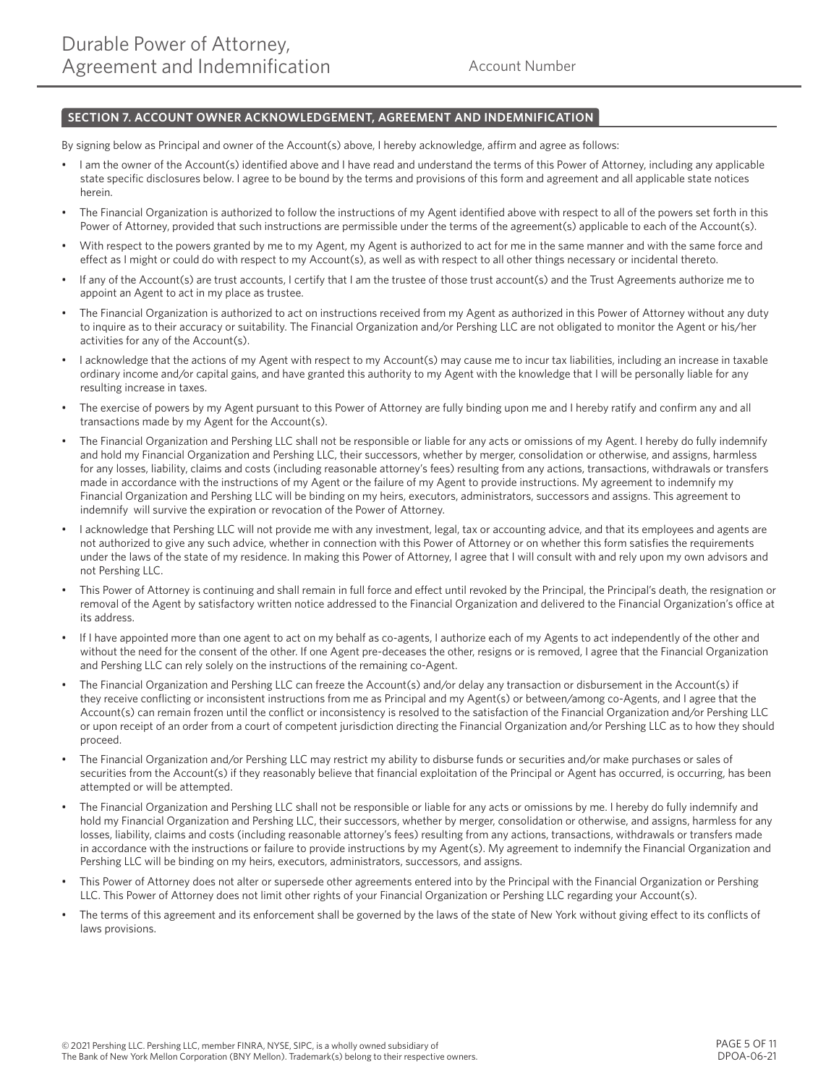# **SECTION 7. ACCOUNT OWNER ACKNOWLEDGEMENT, AGREEMENT AND INDEMNIFICATION**

By signing below as Principal and owner of the Account(s) above, I hereby acknowledge, affirm and agree as follows:

- I am the owner of the Account(s) identified above and I have read and understand the terms of this Power of Attorney, including any applicable state specific disclosures below. I agree to be bound by the terms and provisions of this form and agreement and all applicable state notices herein.
- The Financial Organization is authorized to follow the instructions of my Agent identified above with respect to all of the powers set forth in this Power of Attorney, provided that such instructions are permissible under the terms of the agreement(s) applicable to each of the Account(s).
- With respect to the powers granted by me to my Agent, my Agent is authorized to act for me in the same manner and with the same force and effect as I might or could do with respect to my Account(s), as well as with respect to all other things necessary or incidental thereto.
- If any of the Account(s) are trust accounts, I certify that I am the trustee of those trust account(s) and the Trust Agreements authorize me to appoint an Agent to act in my place as trustee.
- The Financial Organization is authorized to act on instructions received from my Agent as authorized in this Power of Attorney without any duty to inquire as to their accuracy or suitability. The Financial Organization and/or Pershing LLC are not obligated to monitor the Agent or his/her activities for any of the Account(s).
- I acknowledge that the actions of my Agent with respect to my Account(s) may cause me to incur tax liabilities, including an increase in taxable ordinary income and/or capital gains, and have granted this authority to my Agent with the knowledge that I will be personally liable for any resulting increase in taxes.
- The exercise of powers by my Agent pursuant to this Power of Attorney are fully binding upon me and I hereby ratify and confirm any and all transactions made by my Agent for the Account(s).
- The Financial Organization and Pershing LLC shall not be responsible or liable for any acts or omissions of my Agent. I hereby do fully indemnify and hold my Financial Organization and Pershing LLC, their successors, whether by merger, consolidation or otherwise, and assigns, harmless for any losses, liability, claims and costs (including reasonable attorney's fees) resulting from any actions, transactions, withdrawals or transfers made in accordance with the instructions of my Agent or the failure of my Agent to provide instructions. My agreement to indemnify my Financial Organization and Pershing LLC will be binding on my heirs, executors, administrators, successors and assigns. This agreement to indemnify will survive the expiration or revocation of the Power of Attorney.
- I acknowledge that Pershing LLC will not provide me with any investment, legal, tax or accounting advice, and that its employees and agents are not authorized to give any such advice, whether in connection with this Power of Attorney or on whether this form satisfies the requirements under the laws of the state of my residence. In making this Power of Attorney, I agree that I will consult with and rely upon my own advisors and not Pershing LLC.
- This Power of Attorney is continuing and shall remain in full force and effect until revoked by the Principal, the Principal's death, the resignation or removal of the Agent by satisfactory written notice addressed to the Financial Organization and delivered to the Financial Organization's office at its address.
- If I have appointed more than one agent to act on my behalf as co-agents, I authorize each of my Agents to act independently of the other and without the need for the consent of the other. If one Agent pre-deceases the other, resigns or is removed, I agree that the Financial Organization and Pershing LLC can rely solely on the instructions of the remaining co-Agent.
- The Financial Organization and Pershing LLC can freeze the Account(s) and/or delay any transaction or disbursement in the Account(s) if they receive conflicting or inconsistent instructions from me as Principal and my Agent(s) or between/among co-Agents, and I agree that the Account(s) can remain frozen until the conflict or inconsistency is resolved to the satisfaction of the Financial Organization and/or Pershing LLC or upon receipt of an order from a court of competent jurisdiction directing the Financial Organization and/or Pershing LLC as to how they should proceed.
- The Financial Organization and/or Pershing LLC may restrict my ability to disburse funds or securities and/or make purchases or sales of securities from the Account(s) if they reasonably believe that financial exploitation of the Principal or Agent has occurred, is occurring, has been attempted or will be attempted.
- The Financial Organization and Pershing LLC shall not be responsible or liable for any acts or omissions by me. I hereby do fully indemnify and hold my Financial Organization and Pershing LLC, their successors, whether by merger, consolidation or otherwise, and assigns, harmless for any losses, liability, claims and costs (including reasonable attorney's fees) resulting from any actions, transactions, withdrawals or transfers made in accordance with the instructions or failure to provide instructions by my Agent(s). My agreement to indemnify the Financial Organization and Pershing LLC will be binding on my heirs, executors, administrators, successors, and assigns.
- This Power of Attorney does not alter or supersede other agreements entered into by the Principal with the Financial Organization or Pershing LLC. This Power of Attorney does not limit other rights of your Financial Organization or Pershing LLC regarding your Account(s).
- The terms of this agreement and its enforcement shall be governed by the laws of the state of New York without giving effect to its conflicts of laws provisions.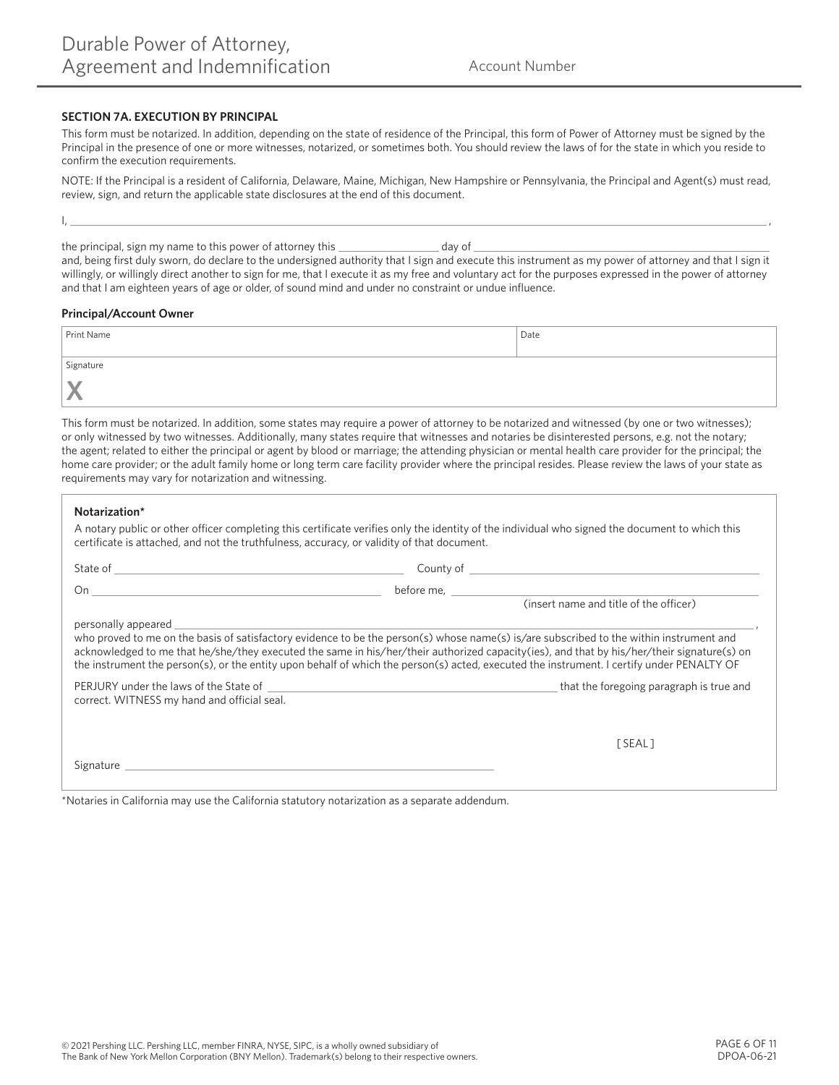# **SECTION 7A. EXECUTION BY PRINCIPAL**

This form must be notarized. In addition, depending on the state of residence of the Principal, this form of Power of Attorney must be signed by the Principal in the presence of one or more witnesses, notarized, or sometimes both. You should review the laws of for the state in which you reside to confirm the execution requirements.

NOTE: If the Principal is a resident of California, Delaware, Maine, Michigan, New Hampshire or Pennsylvania, the Principal and Agent(s) must read, review, sign, and return the applicable state disclosures at the end of this document.

#### I, ,

the principal, sign my name to this power of attorney this  $\Box$ 

and, being first duly sworn, do declare to the undersigned authority that I sign and execute this instrument as my power of attorney and that I sign it willingly, or willingly direct another to sign for me, that I execute it as my free and voluntary act for the purposes expressed in the power of attorney and that I am eighteen years of age or older, of sound mind and under no constraint or undue influence.

#### **Principal/Account Owner**

| Print Name                    | Date |
|-------------------------------|------|
|                               |      |
| Signature                     |      |
| $\mathbf{v}$<br>$\mathscr{L}$ |      |

This form must be notarized. In addition, some states may require a power of attorney to be notarized and witnessed (by one or two witnesses); or only witnessed by two witnesses. Additionally, many states require that witnesses and notaries be disinterested persons, e.g. not the notary; the agent; related to either the principal or agent by blood or marriage; the attending physician or mental health care provider for the principal; the home care provider; or the adult family home or long term care facility provider where the principal resides. Please review the laws of your state as requirements may vary for notarization and witnessing.

| Notarization*<br>certificate is attached, and not the truthfulness, accuracy, or validity of that document. | A notary public or other officer completing this certificate verifies only the identity of the individual who signed the document to which this                                                                                                                                                                                                                                                                                    |
|-------------------------------------------------------------------------------------------------------------|------------------------------------------------------------------------------------------------------------------------------------------------------------------------------------------------------------------------------------------------------------------------------------------------------------------------------------------------------------------------------------------------------------------------------------|
|                                                                                                             | County of <u>counts and the country of the country of the country of the country of the country of the country of the country of the country of the country of the country of the country of the country of the country of the c</u>                                                                                                                                                                                               |
|                                                                                                             |                                                                                                                                                                                                                                                                                                                                                                                                                                    |
|                                                                                                             | (insert name and title of the officer)                                                                                                                                                                                                                                                                                                                                                                                             |
|                                                                                                             | who proved to me on the basis of satisfactory evidence to be the person(s) whose name(s) is/are subscribed to the within instrument and<br>acknowledged to me that he/she/they executed the same in his/her/their authorized capacity(ies), and that by his/her/their signature(s) on<br>the instrument the person(s), or the entity upon behalf of which the person(s) acted, executed the instrument. I certify under PENALTY OF |
| correct. WITNESS my hand and official seal.                                                                 | PERJURY under the laws of the State of the State of the State of the State of the State of the State of the State of the State of the State of the State of the State of the State of the State of the State of the State of t                                                                                                                                                                                                     |
|                                                                                                             | <b>SEAL</b>                                                                                                                                                                                                                                                                                                                                                                                                                        |
|                                                                                                             |                                                                                                                                                                                                                                                                                                                                                                                                                                    |

\*Notaries in California may use the California statutory notarization as a separate addendum.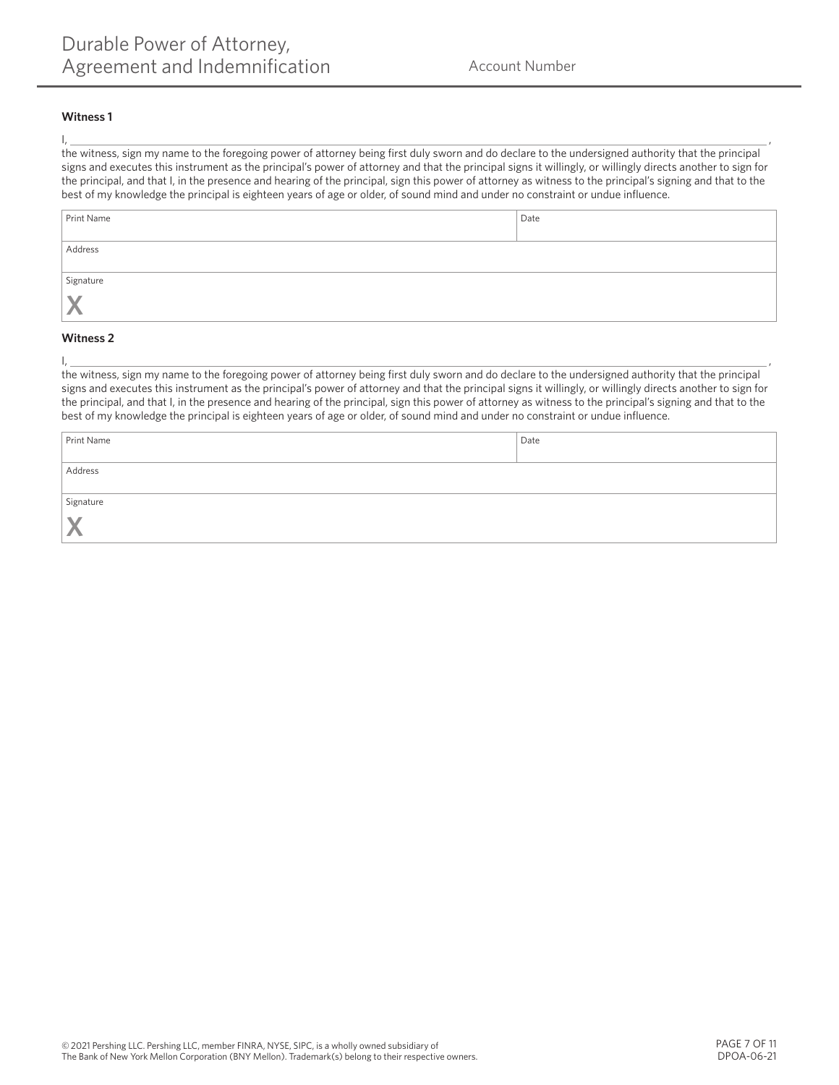#### **Witness 1**

I, , the witness, sign my name to the foregoing power of attorney being first duly sworn and do declare to the undersigned authority that the principal signs and executes this instrument as the principal's power of attorney and that the principal signs it willingly, or willingly directs another to sign for the principal, and that I, in the presence and hearing of the principal, sign this power of attorney as witness to the principal's signing and that to the best of my knowledge the principal is eighteen years of age or older, of sound mind and under no constraint or undue influence.

| Print Name        | Date |
|-------------------|------|
| Address           |      |
| Signature         |      |
| $\mathbf v$<br>v. |      |

# **Witness 2**

I, ,

the witness, sign my name to the foregoing power of attorney being first duly sworn and do declare to the undersigned authority that the principal signs and executes this instrument as the principal's power of attorney and that the principal signs it willingly, or willingly directs another to sign for the principal, and that I, in the presence and hearing of the principal, sign this power of attorney as witness to the principal's signing and that to the best of my knowledge the principal is eighteen years of age or older, of sound mind and under no constraint or undue influence.

| Print Name     | Date |
|----------------|------|
|                |      |
| Address        |      |
|                |      |
| Signature      |      |
| X              |      |
| $\overline{ }$ |      |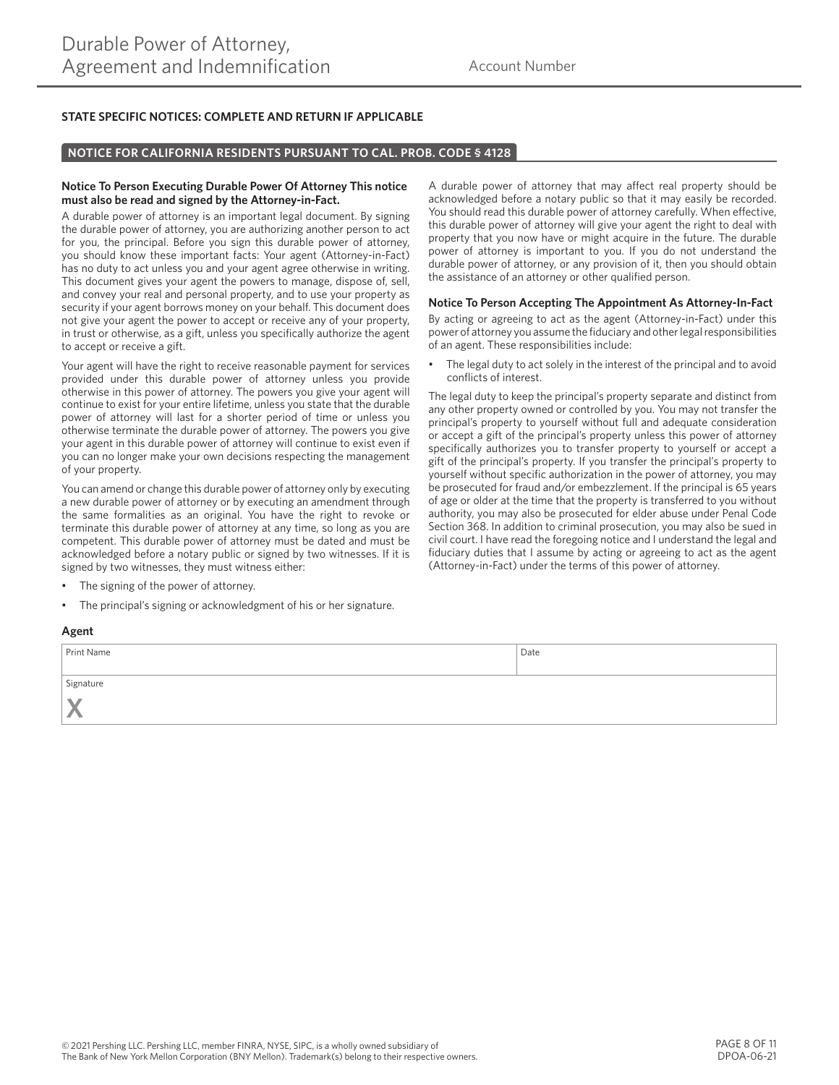# **STATE SPECIFIC NOTICES: COMPLETE AND RETURN IF APPLICABLE**

#### **NOTICE FOR CALIFORNIA RESIDENTS PURSUANT TO CAL. PROB. CODE § 4128**

#### **Notice To Person Executing Durable Power Of Attorney This notice must also be read and signed by the Attorney-in-Fact.**

A durable power of attorney is an important legal document. By signing the durable power of attorney, you are authorizing another person to act for you, the principal. Before you sign this durable power of attorney, you should know these important facts: Your agent (Attorney-in-Fact) has no duty to act unless you and your agent agree otherwise in writing. This document gives your agent the powers to manage, dispose of, sell, and convey your real and personal property, and to use your property as security if your agent borrows money on your behalf. This document does not give your agent the power to accept or receive any of your property, in trust or otherwise, as a gift, unless you specifically authorize the agent to accept or receive a gift.

Your agent will have the right to receive reasonable payment for services provided under this durable power of attorney unless you provide otherwise in this power of attorney. The powers you give your agent will continue to exist for your entire lifetime, unless you state that the durable power of attorney will last for a shorter period of time or unless you otherwise terminate the durable power of attorney. The powers you give your agent in this durable power of attorney will continue to exist even if you can no longer make your own decisions respecting the management of your property.

You can amend or change this durable power of attorney only by executing a new durable power of attorney or by executing an amendment through the same formalities as an original. You have the right to revoke or terminate this durable power of attorney at any time, so long as you are competent. This durable power of attorney must be dated and must be acknowledged before a notary public or signed by two witnesses. If it is signed by two witnesses, they must witness either:

- The signing of the power of attorney.
- The principal's signing or acknowledgment of his or her signature.

A durable power of attorney that may affect real property should be acknowledged before a notary public so that it may easily be recorded. You should read this durable power of attorney carefully. When effective, this durable power of attorney will give your agent the right to deal with property that you now have or might acquire in the future. The durable power of attorney is important to you. If you do not understand the durable power of attorney, or any provision of it, then you should obtain the assistance of an attorney or other qualified person.

#### **Notice To Person Accepting The Appointment As Attorney-In-Fact**

By acting or agreeing to act as the agent (Attorney-in-Fact) under this power of attorney you assume the fiduciary and other legal responsibilities of an agent. These responsibilities include:

The legal duty to act solely in the interest of the principal and to avoid conflicts of interest.

The legal duty to keep the principal's property separate and distinct from any other property owned or controlled by you. You may not transfer the principal's property to yourself without full and adequate consideration or accept a gift of the principal's property unless this power of attorney specifically authorizes you to transfer property to yourself or accept a gift of the principal's property. If you transfer the principal's property to yourself without specific authorization in the power of attorney, you may be prosecuted for fraud and/or embezzlement. If the principal is 65 years of age or older at the time that the property is transferred to you without authority, you may also be prosecuted for elder abuse under Penal Code Section 368. In addition to criminal prosecution, you may also be sued in civil court. I have read the foregoing notice and I understand the legal and fiduciary duties that I assume by acting or agreeing to act as the agent (Attorney-in-Fact) under the terms of this power of attorney.

# **Agent**

| Print Name | Date |
|------------|------|
| Signature  |      |
| X          |      |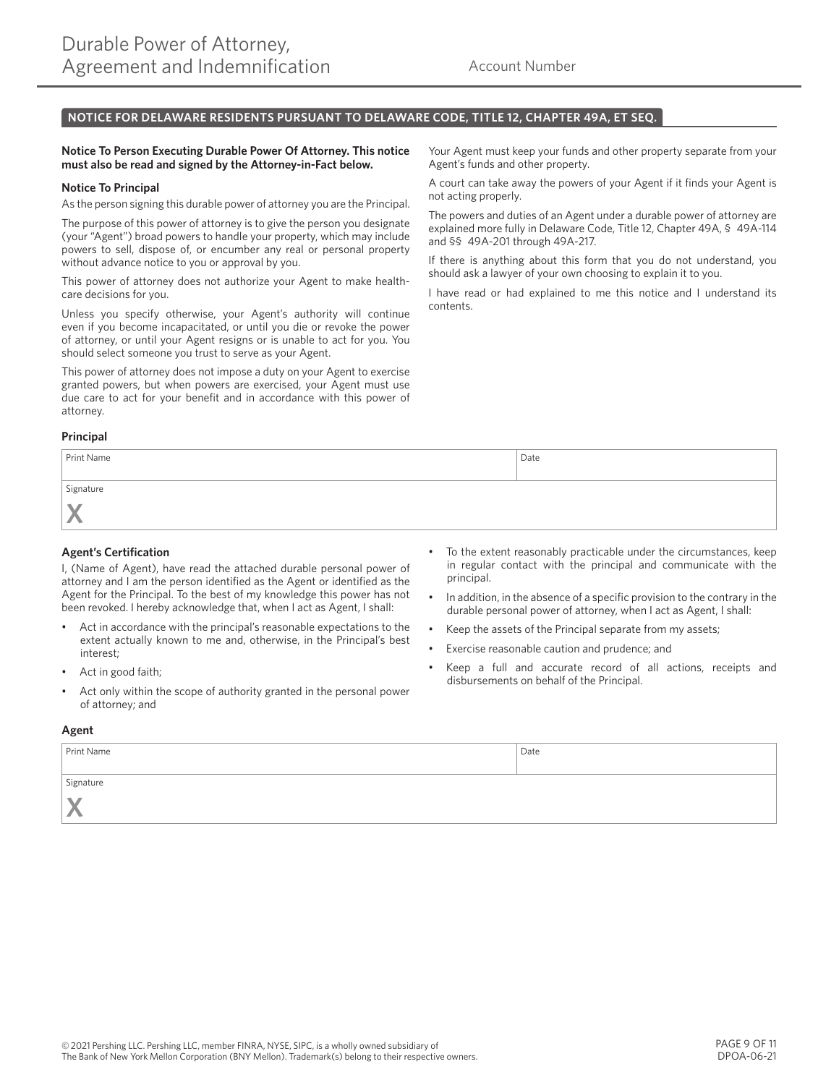Agent's funds and other property.

and §§ 49A-201 through 49A-217.

not acting properly.

contents.

# **NOTICE FOR DELAWARE RESIDENTS PURSUANT TO DELAWARE CODE, TITLE 12, CHAPTER 49A, ET SEQ.**

#### **Notice To Person Executing Durable Power Of Attorney. This notice must also be read and signed by the Attorney-in-Fact below.**

#### **Notice To Principal**

As the person signing this durable power of attorney you are the Principal.

The purpose of this power of attorney is to give the person you designate (your "Agent") broad powers to handle your property, which may include powers to sell, dispose of, or encumber any real or personal property without advance notice to you or approval by you.

This power of attorney does not authorize your Agent to make healthcare decisions for you.

Unless you specify otherwise, your Agent's authority will continue even if you become incapacitated, or until you die or revoke the power of attorney, or until your Agent resigns or is unable to act for you. You should select someone you trust to serve as your Agent.

This power of attorney does not impose a duty on your Agent to exercise granted powers, but when powers are exercised, your Agent must use due care to act for your benefit and in accordance with this power of attorney.

#### **Principal**

| Print Name | Date |
|------------|------|
| Signature  |      |
| V          |      |

#### **Agent's Certification**

I, (Name of Agent), have read the attached durable personal power of attorney and I am the person identified as the Agent or identified as the Agent for the Principal. To the best of my knowledge this power has not been revoked. I hereby acknowledge that, when I act as Agent, I shall:

- Act in accordance with the principal's reasonable expectations to the extent actually known to me and, otherwise, in the Principal's best interest;
- Act in good faith;
- Act only within the scope of authority granted in the personal power of attorney; and
- To the extent reasonably practicable under the circumstances, keep in regular contact with the principal and communicate with the principal.

Your Agent must keep your funds and other property separate from your

A court can take away the powers of your Agent if it finds your Agent is

The powers and duties of an Agent under a durable power of attorney are explained more fully in Delaware Code, Title 12, Chapter 49A, § 49A-114

If there is anything about this form that you do not understand, you

I have read or had explained to me this notice and I understand its

should ask a lawyer of your own choosing to explain it to you.

- In addition, in the absence of a specific provision to the contrary in the durable personal power of attorney, when I act as Agent, I shall:
- Keep the assets of the Principal separate from my assets;
- Exercise reasonable caution and prudence; and
- Keep a full and accurate record of all actions, receipts and disbursements on behalf of the Principal.

#### **Agent**

| Print Name                    | $\Box$ Date |
|-------------------------------|-------------|
| Signature                     |             |
| $\overline{\mathbf{v}}$<br>-- |             |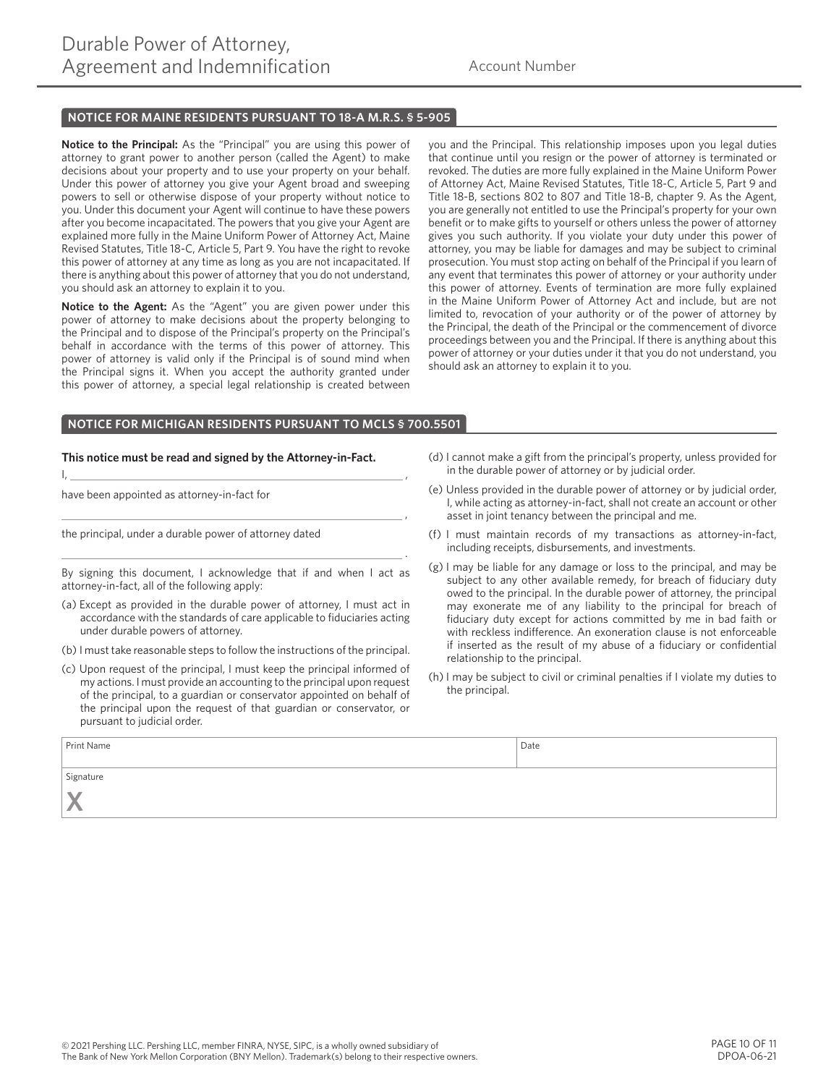# **NOTICE FOR MAINE RESIDENTS PURSUANT TO 18-A M.R.S. § 5-905**

**Notice to the Principal:** As the "Principal" you are using this power of attorney to grant power to another person (called the Agent) to make decisions about your property and to use your property on your behalf. Under this power of attorney you give your Agent broad and sweeping powers to sell or otherwise dispose of your property without notice to you. Under this document your Agent will continue to have these powers after you become incapacitated. The powers that you give your Agent are explained more fully in the Maine Uniform Power of Attorney Act, Maine Revised Statutes, Title 18-C, Article 5, Part 9. You have the right to revoke this power of attorney at any time as long as you are not incapacitated. If there is anything about this power of attorney that you do not understand, you should ask an attorney to explain it to you.

**Notice to the Agent:** As the "Agent" you are given power under this power of attorney to make decisions about the property belonging to the Principal and to dispose of the Principal's property on the Principal's behalf in accordance with the terms of this power of attorney. This power of attorney is valid only if the Principal is of sound mind when the Principal signs it. When you accept the authority granted under this power of attorney, a special legal relationship is created between you and the Principal. This relationship imposes upon you legal duties that continue until you resign or the power of attorney is terminated or revoked. The duties are more fully explained in the Maine Uniform Power of Attorney Act, Maine Revised Statutes, Title 18-C, Article 5, Part 9 and Title 18-B, sections 802 to 807 and Title 18-B, chapter 9. As the Agent, you are generally not entitled to use the Principal's property for your own benefit or to make gifts to yourself or others unless the power of attorney gives you such authority. If you violate your duty under this power of attorney, you may be liable for damages and may be subject to criminal prosecution. You must stop acting on behalf of the Principal if you learn of any event that terminates this power of attorney or your authority under this power of attorney. Events of termination are more fully explained in the Maine Uniform Power of Attorney Act and include, but are not limited to, revocation of your authority or of the power of attorney by the Principal, the death of the Principal or the commencement of divorce proceedings between you and the Principal. If there is anything about this power of attorney or your duties under it that you do not understand, you should ask an attorney to explain it to you.

# **NOTICE FOR MICHIGAN RESIDENTS PURSUANT TO MCLS § 700.5501**

#### **This notice must be read and signed by the Attorney-in-Fact.**

 $\mathsf{I}, \underline{\hspace{1cm}}$  , where  $\mathsf{I}$ 

have been appointed as attorney-in-fact for

the principal, under a durable power of attorney dated

By signing this document, I acknowledge that if and when I act as attorney-in-fact, all of the following apply:

- (a) Except as provided in the durable power of attorney, I must act in accordance with the standards of care applicable to fiduciaries acting under durable powers of attorney.
- (b) I must take reasonable steps to follow the instructions of the principal.
- (c) Upon request of the principal, I must keep the principal informed of my actions. I must provide an accounting to the principal upon request of the principal, to a guardian or conservator appointed on behalf of the principal upon the request of that guardian or conservator, or pursuant to judicial order.
- (d) I cannot make a gift from the principal's property, unless provided for in the durable power of attorney or by judicial order.
- (e) Unless provided in the durable power of attorney or by judicial order, I, while acting as attorney-in-fact, shall not create an account or other asset in joint tenancy between the principal and me.
- (f) I must maintain records of my transactions as attorney-in-fact, including receipts, disbursements, and investments.
- (g) I may be liable for any damage or loss to the principal, and may be subject to any other available remedy, for breach of fiduciary duty owed to the principal. In the durable power of attorney, the principal may exonerate me of any liability to the principal for breach of fiduciary duty except for actions committed by me in bad faith or with reckless indifference. An exoneration clause is not enforceable if inserted as the result of my abuse of a fiduciary or confidential relationship to the principal.
- (h) I may be subject to civil or criminal penalties if I violate my duties to the principal.

| Print Name        | Date |
|-------------------|------|
| Signature         |      |
| $\checkmark$<br>◢ |      |

,

.